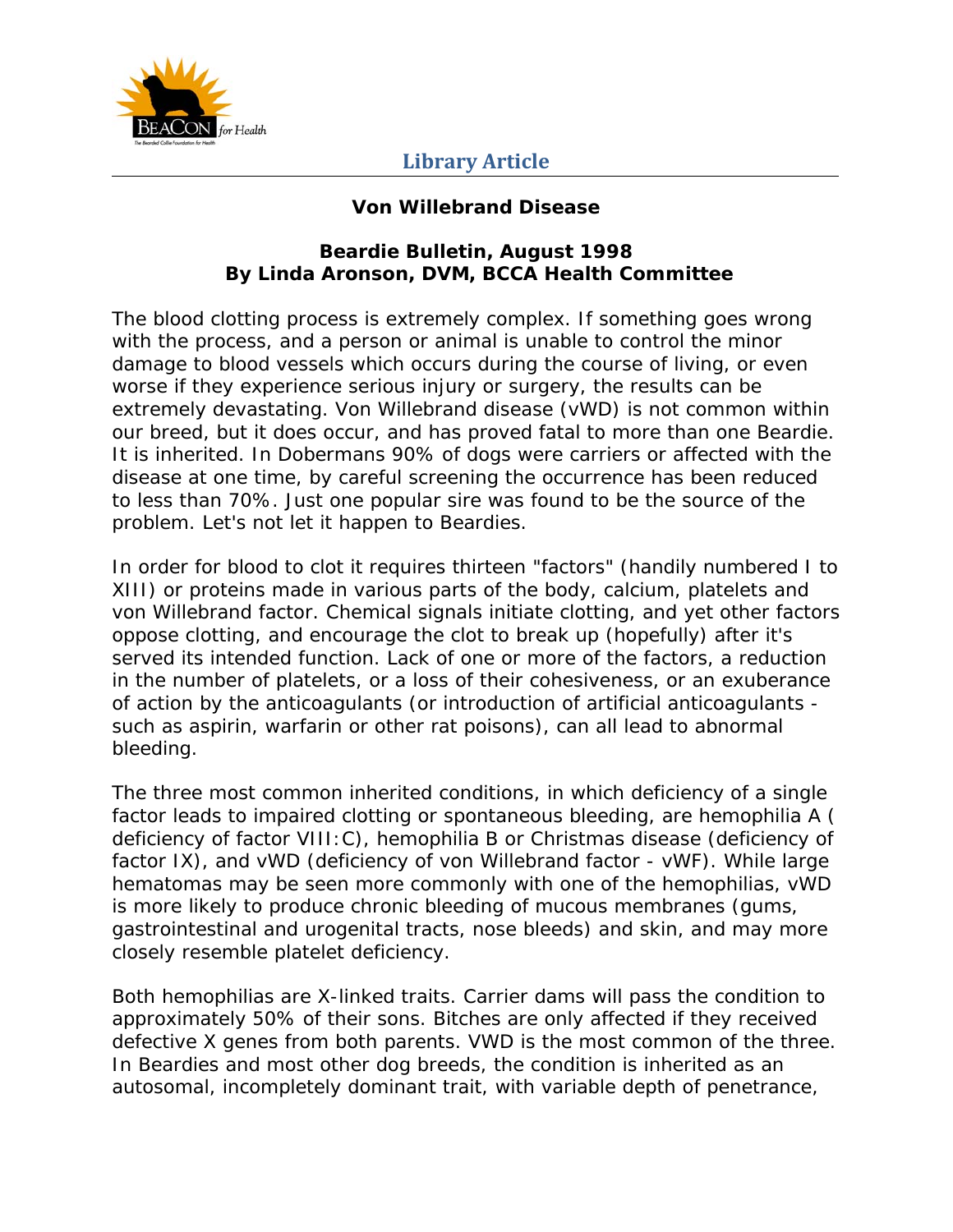

#### **Von Willebrand Disease**

#### **Beardie Bulletin, August 1998 By Linda Aronson, DVM, BCCA Health Committee**

The blood clotting process is extremely complex. If something goes wrong with the process, and a person or animal is unable to control the minor damage to blood vessels which occurs during the course of living, or even worse if they experience serious injury or surgery, the results can be extremely devastating. Von Willebrand disease (vWD) is not common within our breed, but it does occur, and has proved fatal to more than one Beardie. It is inherited. In Dobermans 90% of dogs were carriers or affected with the disease at one time, by careful screening the occurrence has been reduced to less than 70%. Just one popular sire was found to be the source of the problem. Let's not let it happen to Beardies.

In order for blood to clot it requires thirteen "factors" (handily numbered I to XIII) or proteins made in various parts of the body, calcium, platelets and von Willebrand factor. Chemical signals initiate clotting, and yet other factors oppose clotting, and encourage the clot to break up (hopefully) after it's served its intended function. Lack of one or more of the factors, a reduction in the number of platelets, or a loss of their cohesiveness, or an exuberance of action by the anticoagulants (or introduction of artificial anticoagulants such as aspirin, warfarin or other rat poisons), can all lead to abnormal bleeding.

The three most common inherited conditions, in which deficiency of a single factor leads to impaired clotting or spontaneous bleeding, are hemophilia A ( deficiency of factor VIII:C), hemophilia B or Christmas disease (deficiency of factor IX), and vWD (deficiency of von Willebrand factor - vWF). While large hematomas may be seen more commonly with one of the hemophilias, vWD is more likely to produce chronic bleeding of mucous membranes (gums, gastrointestinal and urogenital tracts, nose bleeds) and skin, and may more closely resemble platelet deficiency.

Both hemophilias are X-linked traits. Carrier dams will pass the condition to approximately 50% of their sons. Bitches are only affected if they received defective X genes from both parents. VWD is the most common of the three. In Beardies and most other dog breeds, the condition is inherited as an autosomal, incompletely dominant trait, with variable depth of penetrance,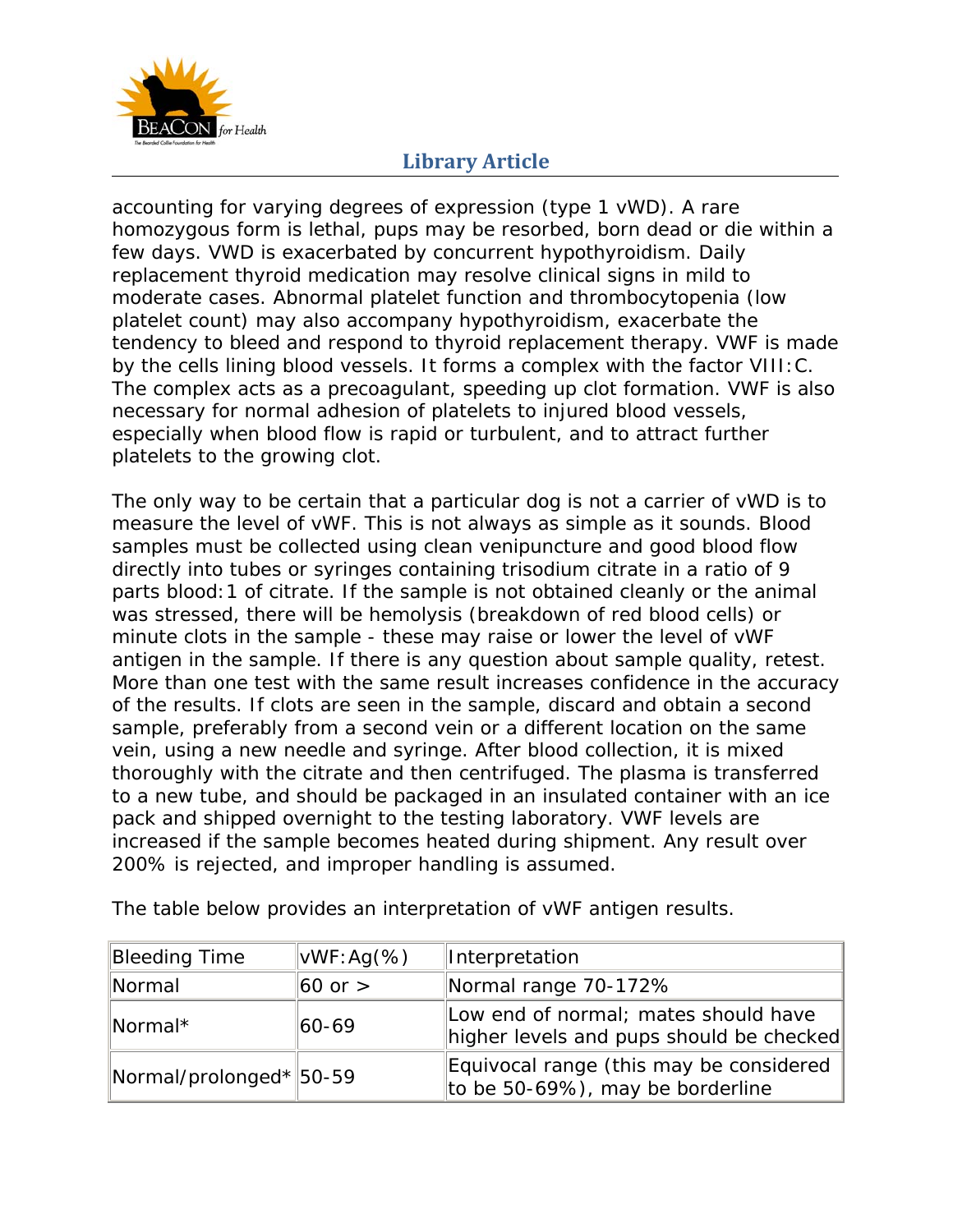

accounting for varying degrees of expression (type 1 vWD). A rare homozygous form is lethal, pups may be resorbed, born dead or die within a few days. VWD is exacerbated by concurrent hypothyroidism. Daily replacement thyroid medication may resolve clinical signs in mild to moderate cases. Abnormal platelet function and thrombocytopenia (low platelet count) may also accompany hypothyroidism, exacerbate the tendency to bleed and respond to thyroid replacement therapy. VWF is made by the cells lining blood vessels. It forms a complex with the factor VIII:C. The complex acts as a precoagulant, speeding up clot formation. VWF is also necessary for normal adhesion of platelets to injured blood vessels, especially when blood flow is rapid or turbulent, and to attract further platelets to the growing clot.

The only way to be certain that a particular dog is not a carrier of vWD is to measure the level of vWF. This is not always as simple as it sounds. Blood samples must be collected using clean venipuncture and good blood flow directly into tubes or syringes containing trisodium citrate in a ratio of 9 parts blood:1 of citrate. If the sample is not obtained cleanly or the animal was stressed, there will be hemolysis (breakdown of red blood cells) or minute clots in the sample - these may raise or lower the level of vWF antigen in the sample. If there is any question about sample quality, retest. More than one test with the same result increases confidence in the accuracy of the results. If clots are seen in the sample, discard and obtain a second sample, preferably from a second vein or a different location on the same vein, using a new needle and syringe. After blood collection, it is mixed thoroughly with the citrate and then centrifuged. The plasma is transferred to a new tube, and should be packaged in an insulated container with an ice pack and shipped overnight to the testing laboratory. VWF levels are increased if the sample becomes heated during shipment. Any result over 200% is rejected, and improper handling is assumed.

| Bleeding Time           | $\vert \text{vWF:Ag}(\%)$ | Interpretation                                                                   |
|-------------------------|---------------------------|----------------------------------------------------------------------------------|
| Normal                  | $60$ or $>$               | Normal range 70-172%                                                             |
| Normal*                 | 60-69                     | Low end of normal; mates should have<br>higher levels and pups should be checked |
| Normal/prolonged* 50-59 |                           | Equivocal range (this may be considered<br>to be 50-69%), may be borderline      |

The table below provides an interpretation of vWF antigen results.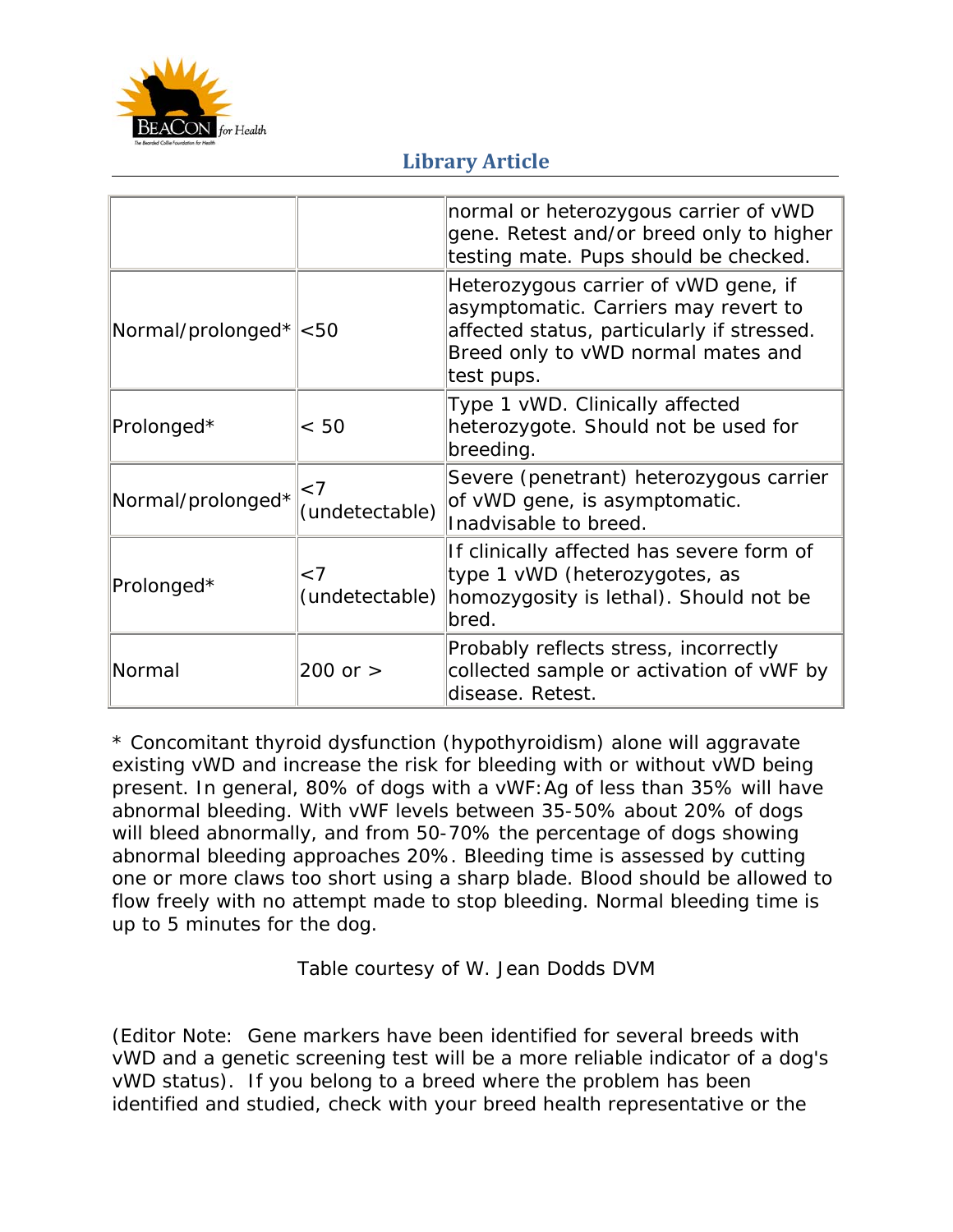

|                                       |                            | normal or heterozygous carrier of vWD<br>gene. Retest and/or breed only to higher<br>testing mate. Pups should be checked.                                                     |
|---------------------------------------|----------------------------|--------------------------------------------------------------------------------------------------------------------------------------------------------------------------------|
| $\text{Normal/prolonged*} \text{&50}$ |                            | Heterozygous carrier of vWD gene, if<br>asymptomatic. Carriers may revert to<br>affected status, particularly if stressed.<br>Breed only to vWD normal mates and<br>test pups. |
| Prolonged*                            | < 50                       | Type 1 vWD. Clinically affected<br>heterozygote. Should not be used for<br>breeding.                                                                                           |
| Normal/prolonged*                     | $\leq 7$<br>(undetectable) | Severe (penetrant) heterozygous carrier<br>of vWD gene, is asymptomatic.<br>Inadvisable to breed.                                                                              |
| Prolonged*                            | < 7<br>(undetectable)      | If clinically affected has severe form of<br>type 1 vWD (heterozygotes, as<br>homozygosity is lethal). Should not be<br>bred.                                                  |
| Normal                                | $200$ or $>$               | Probably reflects stress, incorrectly<br>collected sample or activation of vWF by<br>disease. Retest.                                                                          |

\* Concomitant thyroid dysfunction (hypothyroidism) alone will aggravate existing vWD and increase the risk for bleeding with or without vWD being present. In general, 80% of dogs with a vWF:Ag of less than 35% will have abnormal bleeding. With vWF levels between 35-50% about 20% of dogs will bleed abnormally, and from 50-70% the percentage of dogs showing abnormal bleeding approaches 20%. Bleeding time is assessed by cutting one or more claws too short using a sharp blade. Blood should be allowed to flow freely with no attempt made to stop bleeding. Normal bleeding time is up to 5 minutes for the dog.

Table courtesy of W. Jean Dodds DVM

*(Editor Note: Gene markers have been identified for several breeds with vWD and a genetic screening test will be a more reliable indicator of a dog's vWD status). If you belong to a breed where the problem has been identified and studied, check with your breed health representative or the*